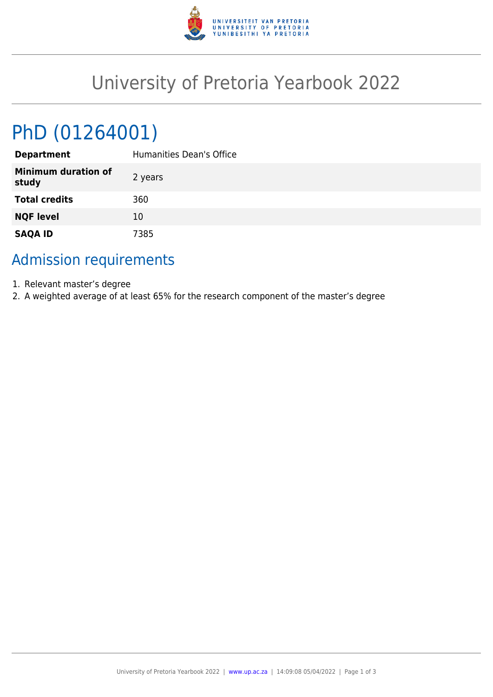

## University of Pretoria Yearbook 2022

# PhD (01264001)

| <b>Department</b>                   | Humanities Dean's Office |
|-------------------------------------|--------------------------|
| <b>Minimum duration of</b><br>study | 2 years                  |
| <b>Total credits</b>                | 360                      |
| <b>NQF level</b>                    | 10                       |
| <b>SAQA ID</b>                      | 7385                     |

## Admission requirements

- 1. Relevant master's degree
- 2. A weighted average of at least 65% for the research component of the master's degree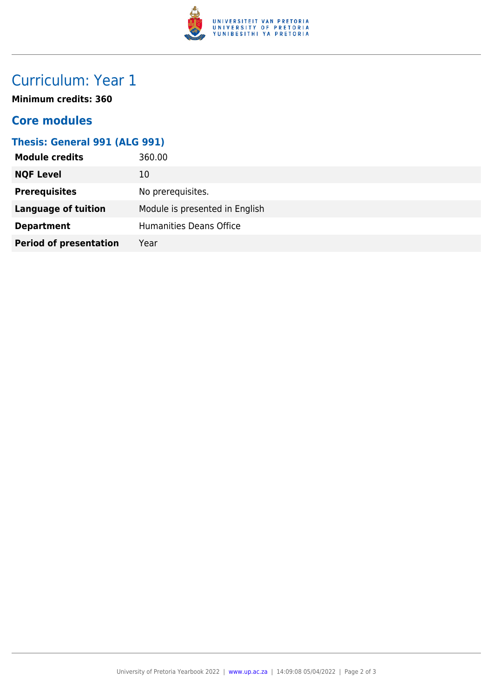

## Curriculum: Year 1

**Minimum credits: 360**

### **Core modules**

#### **Thesis: General 991 (ALG 991)**

| <b>Module credits</b>         | 360.00                         |
|-------------------------------|--------------------------------|
| <b>NQF Level</b>              | 10                             |
| <b>Prerequisites</b>          | No prerequisites.              |
| <b>Language of tuition</b>    | Module is presented in English |
| <b>Department</b>             | <b>Humanities Deans Office</b> |
| <b>Period of presentation</b> | Year                           |